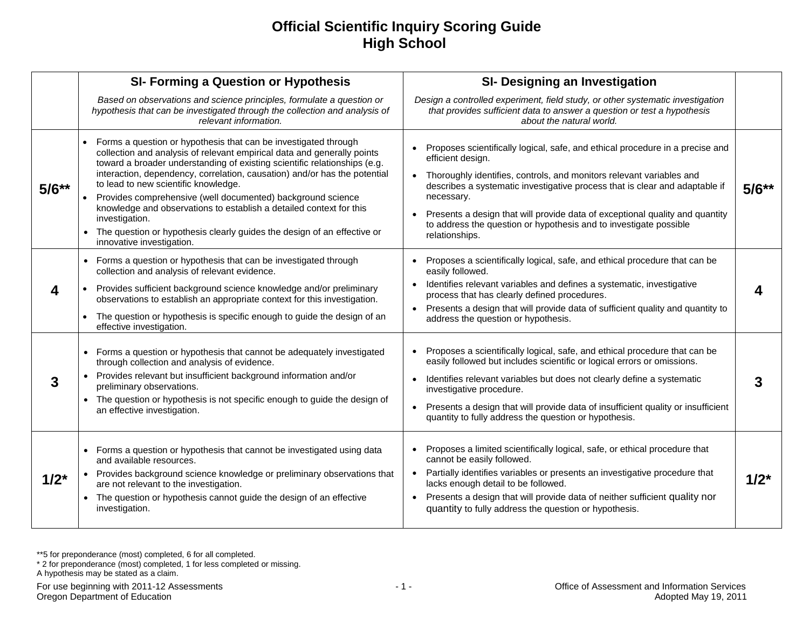## **Official Scientific Inquiry Scoring Guide High School**

|           | <b>SI- Forming a Question or Hypothesis</b>                                                                                                                                                                                                                                                                                                                                                                                                                                                                                                                                                                  | SI- Designing an Investigation                                                                                                                                                                                                                                                                                                                                                                                                                              |           |
|-----------|--------------------------------------------------------------------------------------------------------------------------------------------------------------------------------------------------------------------------------------------------------------------------------------------------------------------------------------------------------------------------------------------------------------------------------------------------------------------------------------------------------------------------------------------------------------------------------------------------------------|-------------------------------------------------------------------------------------------------------------------------------------------------------------------------------------------------------------------------------------------------------------------------------------------------------------------------------------------------------------------------------------------------------------------------------------------------------------|-----------|
|           | Based on observations and science principles, formulate a question or<br>hypothesis that can be investigated through the collection and analysis of<br>relevant information.                                                                                                                                                                                                                                                                                                                                                                                                                                 | Design a controlled experiment, field study, or other systematic investigation<br>that provides sufficient data to answer a question or test a hypothesis<br>about the natural world.                                                                                                                                                                                                                                                                       |           |
| $5/6**$   | Forms a question or hypothesis that can be investigated through<br>collection and analysis of relevant empirical data and generally points<br>toward a broader understanding of existing scientific relationships (e.g.<br>interaction, dependency, correlation, causation) and/or has the potential<br>to lead to new scientific knowledge.<br>Provides comprehensive (well documented) background science<br>knowledge and observations to establish a detailed context for this<br>investigation.<br>The question or hypothesis clearly guides the design of an effective or<br>innovative investigation. | Proposes scientifically logical, safe, and ethical procedure in a precise and<br>efficient design.<br>Thoroughly identifies, controls, and monitors relevant variables and<br>$\bullet$<br>describes a systematic investigative process that is clear and adaptable if<br>necessary.<br>Presents a design that will provide data of exceptional quality and quantity<br>to address the question or hypothesis and to investigate possible<br>relationships. | $5/6**$   |
| 4         | Forms a question or hypothesis that can be investigated through<br>collection and analysis of relevant evidence.<br>Provides sufficient background science knowledge and/or preliminary<br>observations to establish an appropriate context for this investigation.<br>The question or hypothesis is specific enough to guide the design of an<br>effective investigation.                                                                                                                                                                                                                                   | Proposes a scientifically logical, safe, and ethical procedure that can be<br>easily followed.<br>Identifies relevant variables and defines a systematic, investigative<br>process that has clearly defined procedures.<br>Presents a design that will provide data of sufficient quality and quantity to<br>address the question or hypothesis.                                                                                                            |           |
| 3         | Forms a question or hypothesis that cannot be adequately investigated<br>through collection and analysis of evidence.<br>Provides relevant but insufficient background information and/or<br>preliminary observations.<br>The question or hypothesis is not specific enough to guide the design of<br>an effective investigation.                                                                                                                                                                                                                                                                            | Proposes a scientifically logical, safe, and ethical procedure that can be<br>easily followed but includes scientific or logical errors or omissions.<br>Identifies relevant variables but does not clearly define a systematic<br>$\bullet$<br>investigative procedure.<br>Presents a design that will provide data of insufficient quality or insufficient<br>quantity to fully address the question or hypothesis.                                       |           |
| $1/2^{*}$ | Forms a question or hypothesis that cannot be investigated using data<br>and available resources.<br>Provides background science knowledge or preliminary observations that<br>are not relevant to the investigation.<br>The question or hypothesis cannot guide the design of an effective<br>investigation.                                                                                                                                                                                                                                                                                                | Proposes a limited scientifically logical, safe, or ethical procedure that<br>cannot be easily followed.<br>Partially identifies variables or presents an investigative procedure that<br>lacks enough detail to be followed.<br>Presents a design that will provide data of neither sufficient quality nor<br>quantity to fully address the question or hypothesis.                                                                                        | $1/2^{*}$ |

\*\*5 for preponderance (most) completed, 6 for all completed.

\* 2 for preponderance (most) completed, 1 for less completed or missing. A hypothesis may be stated as a claim.